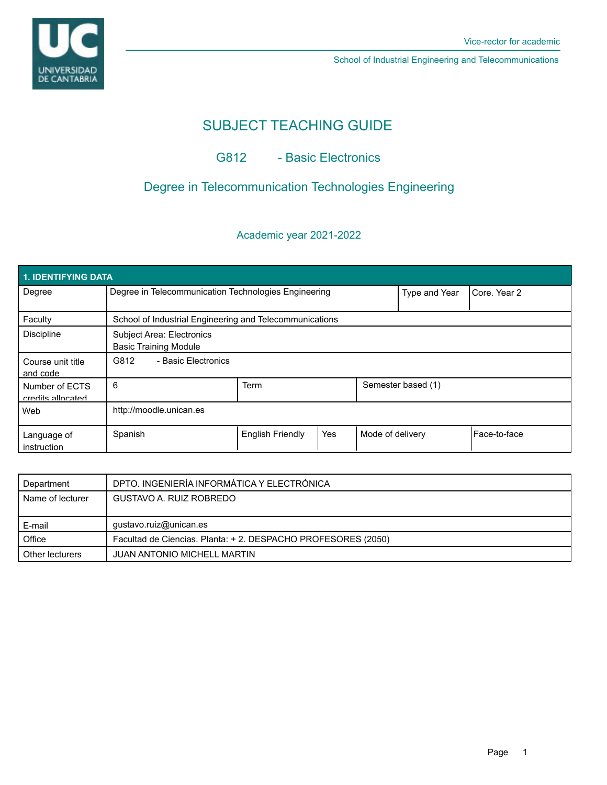



School of Industrial Engineering and Telecommunications

# SUBJECT TEACHING GUIDE

## G812 - Basic Electronics

## Degree in Telecommunication Technologies Engineering

### Academic year 2021-2022

| 1. IDENTIFYING DATA                 |                                                                  |                         |     |                  |                    |               |  |  |  |  |
|-------------------------------------|------------------------------------------------------------------|-------------------------|-----|------------------|--------------------|---------------|--|--|--|--|
| Degree                              | Degree in Telecommunication Technologies Engineering             |                         |     | Type and Year    | Core. Year 2       |               |  |  |  |  |
| Faculty                             | School of Industrial Engineering and Telecommunications          |                         |     |                  |                    |               |  |  |  |  |
| <b>Discipline</b>                   | <b>Subject Area: Electronics</b><br><b>Basic Training Module</b> |                         |     |                  |                    |               |  |  |  |  |
| Course unit title<br>and code       | G812<br>- Basic Electronics                                      |                         |     |                  |                    |               |  |  |  |  |
| Number of ECTS<br>credits allocated | 6                                                                | <b>Term</b>             |     |                  | Semester based (1) |               |  |  |  |  |
| Web                                 | http://moodle.unican.es                                          |                         |     |                  |                    |               |  |  |  |  |
| Language of<br>instruction          | Spanish                                                          | <b>English Friendly</b> | Yes | Mode of delivery |                    | lFace-to-face |  |  |  |  |

| Department       | DPTO. INGENIERÍA INFORMÁTICA Y ELECTRÓNICA                   |  |  |
|------------------|--------------------------------------------------------------|--|--|
| Name of lecturer | GUSTAVO A. RUIZ ROBREDO                                      |  |  |
|                  |                                                              |  |  |
| E-mail           | gustavo.ruiz@unican.es                                       |  |  |
| Office           | Facultad de Ciencias. Planta: +2. DESPACHO PROFESORES (2050) |  |  |
| Other lecturers  | <b>JUAN ANTONIO MICHELL MARTIN</b>                           |  |  |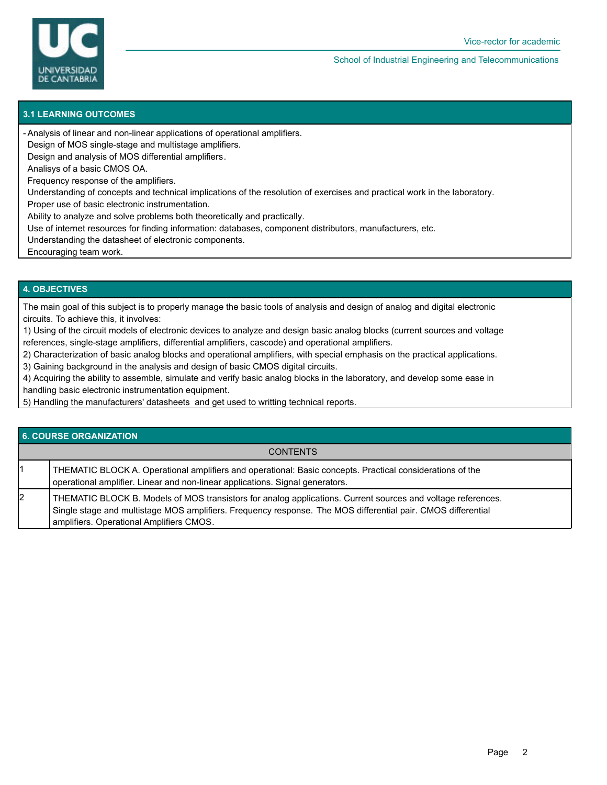

School of Industrial Engineering and Telecommunications

#### **3.1 LEARNING OUTCOMES**

Analysis of linear and non-linear applications of operational amplifiers. -

Design of MOS single-stage and multistage amplifiers.

Design and analysis of MOS differential amplifiers.

Analisys of a basic CMOS OA.

Frequency response of the amplifiers.

Understanding of concepts and technical implications of the resolution of exercises and practical work in the laboratory.

Proper use of basic electronic instrumentation.

Ability to analyze and solve problems both theoretically and practically.

Use of internet resources for finding information: databases, component distributors, manufacturers, etc.

Understanding the datasheet of electronic components.

Encouraging team work.

### **4. OBJECTIVES**

The main goal of this subject is to properly manage the basic tools of analysis and design of analog and digital electronic circuits. To achieve this, it involves:

1) Using of the circuit models of electronic devices to analyze and design basic analog blocks (current sources and voltage references, single-stage amplifiers, differential amplifiers, cascode) and operational amplifiers.

2) Characterization of basic analog blocks and operational amplifiers, with special emphasis on the practical applications.

3) Gaining background in the analysis and design of basic CMOS digital circuits.

4) Acquiring the ability to assemble, simulate and verify basic analog blocks in the laboratory, and develop some ease in

handling basic electronic instrumentation equipment.

5) Handling the manufacturers' datasheets and get used to writting technical reports.

#### **6. COURSE ORGANIZATION**

#### **CONTENTS**

1 THEMATIC BLOCK A. Operational amplifiers and operational: Basic concepts. Practical considerations of the operational amplifier. Linear and non-linear applications. Signal generators.

2 THEMATIC BLOCK B. Models of MOS transistors for analog applications. Current sources and voltage references. Single stage and multistage MOS amplifiers. Frequency response. The MOS differential pair. CMOS differential amplifiers. Operational Amplifiers CMOS.